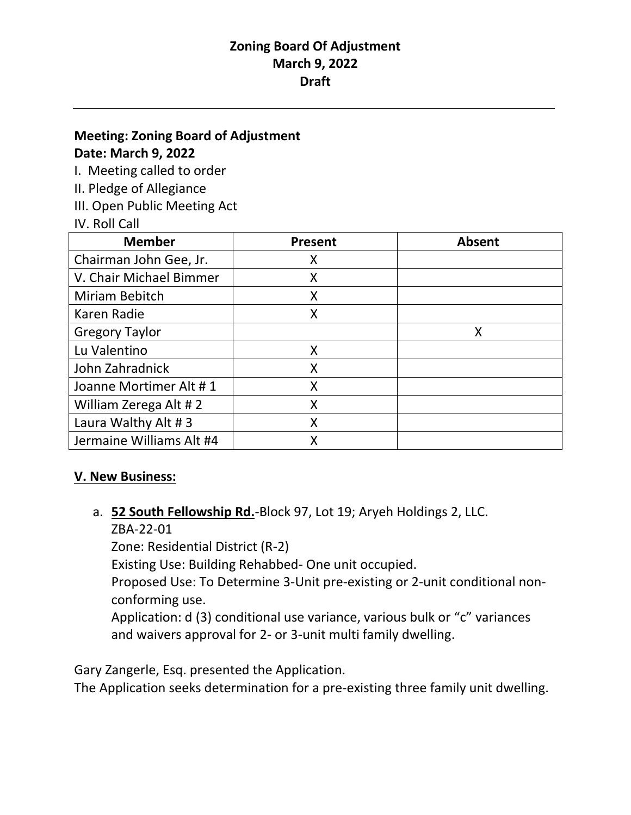#### **Zoning Board Of Adjustment March 9, 2022 Draft**

# **Meeting: Zoning Board of Adjustment**

### **Date: March 9, 2022**

I. Meeting called to order

- II. Pledge of Allegiance
- III. Open Public Meeting Act
- IV. Roll Call

| <b>Member</b>            | <b>Present</b> | <b>Absent</b> |
|--------------------------|----------------|---------------|
| Chairman John Gee, Jr.   | X              |               |
| V. Chair Michael Bimmer  | X              |               |
| Miriam Bebitch           | X              |               |
| Karen Radie              | X              |               |
| <b>Gregory Taylor</b>    |                | Χ             |
| Lu Valentino             | X              |               |
| John Zahradnick          | X              |               |
| Joanne Mortimer Alt #1   | X              |               |
| William Zerega Alt #2    | X              |               |
| Laura Walthy Alt #3      | Χ              |               |
| Jermaine Williams Alt #4 |                |               |

#### **V. New Business:**

#### a. **52 South Fellowship Rd.**-Block 97, Lot 19; Aryeh Holdings 2, LLC. ZBA-22-01

Zone: Residential District (R-2)

Existing Use: Building Rehabbed- One unit occupied.

Proposed Use: To Determine 3-Unit pre-existing or 2-unit conditional nonconforming use.

Application: d (3) conditional use variance, various bulk or "c" variances and waivers approval for 2- or 3-unit multi family dwelling.

Gary Zangerle, Esq. presented the Application.

The Application seeks determination for a pre-existing three family unit dwelling.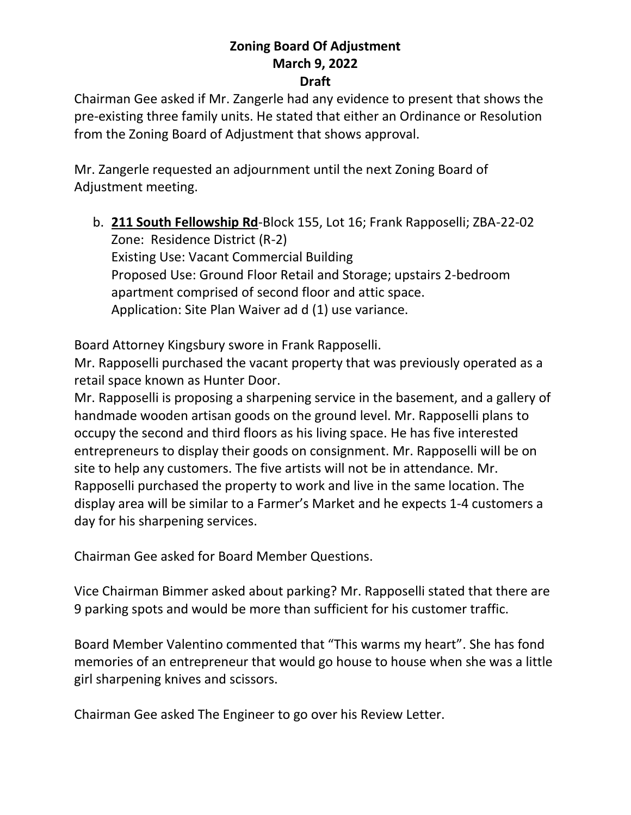#### **Draft**

Chairman Gee asked if Mr. Zangerle had any evidence to present that shows the pre-existing three family units. He stated that either an Ordinance or Resolution from the Zoning Board of Adjustment that shows approval.

Mr. Zangerle requested an adjournment until the next Zoning Board of Adjustment meeting.

b. **211 South Fellowship Rd**-Block 155, Lot 16; Frank Rapposelli; ZBA-22-02 Zone: Residence District (R-2) Existing Use: Vacant Commercial Building Proposed Use: Ground Floor Retail and Storage; upstairs 2-bedroom apartment comprised of second floor and attic space. Application: Site Plan Waiver ad d (1) use variance.

Board Attorney Kingsbury swore in Frank Rapposelli.

Mr. Rapposelli purchased the vacant property that was previously operated as a retail space known as Hunter Door.

Mr. Rapposelli is proposing a sharpening service in the basement, and a gallery of handmade wooden artisan goods on the ground level. Mr. Rapposelli plans to occupy the second and third floors as his living space. He has five interested entrepreneurs to display their goods on consignment. Mr. Rapposelli will be on site to help any customers. The five artists will not be in attendance. Mr. Rapposelli purchased the property to work and live in the same location. The display area will be similar to a Farmer's Market and he expects 1-4 customers a day for his sharpening services.

Chairman Gee asked for Board Member Questions.

Vice Chairman Bimmer asked about parking? Mr. Rapposelli stated that there are 9 parking spots and would be more than sufficient for his customer traffic.

Board Member Valentino commented that "This warms my heart". She has fond memories of an entrepreneur that would go house to house when she was a little girl sharpening knives and scissors.

Chairman Gee asked The Engineer to go over his Review Letter.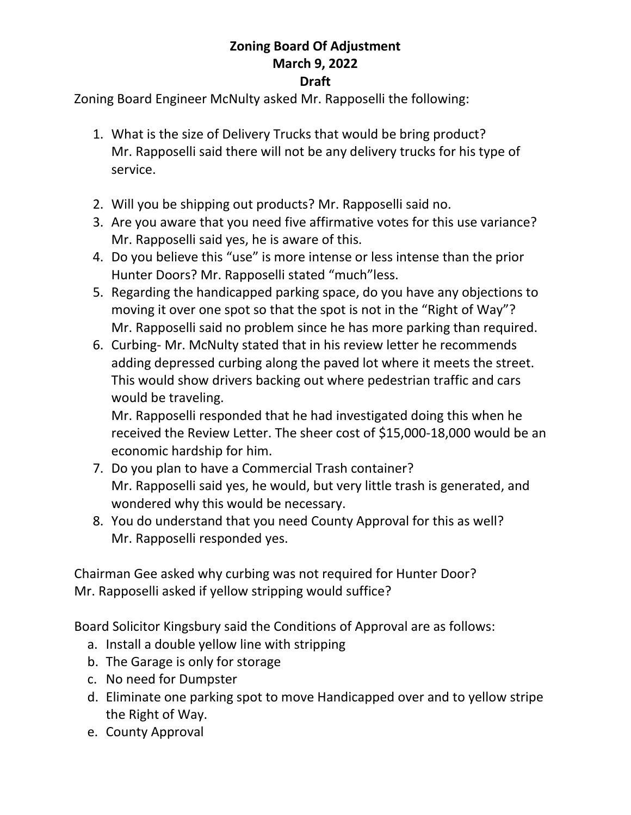#### **Draft**

Zoning Board Engineer McNulty asked Mr. Rapposelli the following:

- 1. What is the size of Delivery Trucks that would be bring product? Mr. Rapposelli said there will not be any delivery trucks for his type of service.
- 2. Will you be shipping out products? Mr. Rapposelli said no.
- 3. Are you aware that you need five affirmative votes for this use variance? Mr. Rapposelli said yes, he is aware of this.
- 4. Do you believe this "use" is more intense or less intense than the prior Hunter Doors? Mr. Rapposelli stated "much"less.
- 5. Regarding the handicapped parking space, do you have any objections to moving it over one spot so that the spot is not in the "Right of Way"? Mr. Rapposelli said no problem since he has more parking than required.
- 6. Curbing- Mr. McNulty stated that in his review letter he recommends adding depressed curbing along the paved lot where it meets the street. This would show drivers backing out where pedestrian traffic and cars would be traveling.

Mr. Rapposelli responded that he had investigated doing this when he received the Review Letter. The sheer cost of \$15,000-18,000 would be an economic hardship for him.

- 7. Do you plan to have a Commercial Trash container? Mr. Rapposelli said yes, he would, but very little trash is generated, and wondered why this would be necessary.
- 8. You do understand that you need County Approval for this as well? Mr. Rapposelli responded yes.

Chairman Gee asked why curbing was not required for Hunter Door? Mr. Rapposelli asked if yellow stripping would suffice?

Board Solicitor Kingsbury said the Conditions of Approval are as follows:

- a. Install a double yellow line with stripping
- b. The Garage is only for storage
- c. No need for Dumpster
- d. Eliminate one parking spot to move Handicapped over and to yellow stripe the Right of Way.
- e. County Approval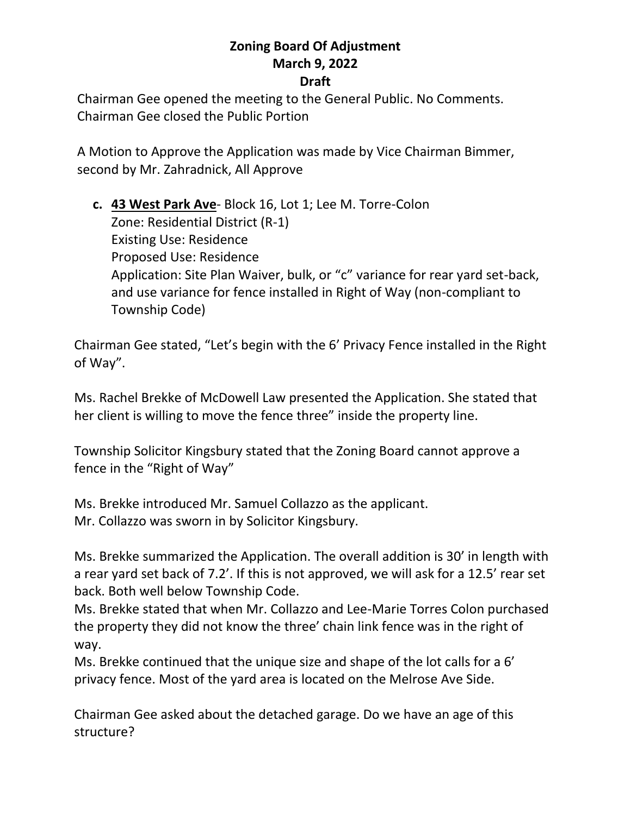#### **Draft**

Chairman Gee opened the meeting to the General Public. No Comments. Chairman Gee closed the Public Portion

A Motion to Approve the Application was made by Vice Chairman Bimmer, second by Mr. Zahradnick, All Approve

**c. 43 West Park Ave**- Block 16, Lot 1; Lee M. Torre-Colon Zone: Residential District (R-1) Existing Use: Residence Proposed Use: Residence Application: Site Plan Waiver, bulk, or "c" variance for rear yard set-back, and use variance for fence installed in Right of Way (non-compliant to Township Code)

Chairman Gee stated, "Let's begin with the 6' Privacy Fence installed in the Right of Way".

Ms. Rachel Brekke of McDowell Law presented the Application. She stated that her client is willing to move the fence three" inside the property line.

Township Solicitor Kingsbury stated that the Zoning Board cannot approve a fence in the "Right of Way"

Ms. Brekke introduced Mr. Samuel Collazzo as the applicant. Mr. Collazzo was sworn in by Solicitor Kingsbury.

Ms. Brekke summarized the Application. The overall addition is 30' in length with a rear yard set back of 7.2'. If this is not approved, we will ask for a 12.5' rear set back. Both well below Township Code.

Ms. Brekke stated that when Mr. Collazzo and Lee-Marie Torres Colon purchased the property they did not know the three' chain link fence was in the right of way.

Ms. Brekke continued that the unique size and shape of the lot calls for a 6' privacy fence. Most of the yard area is located on the Melrose Ave Side.

Chairman Gee asked about the detached garage. Do we have an age of this structure?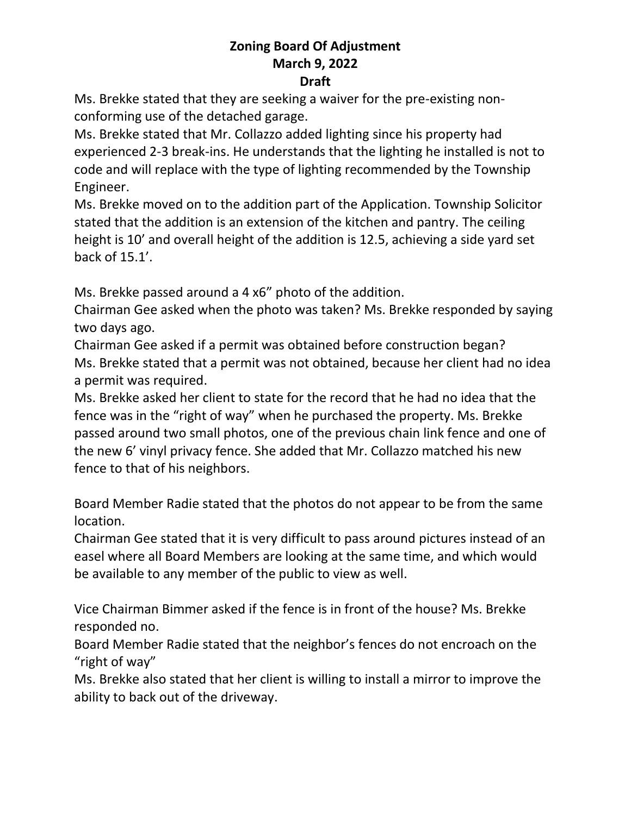#### **Draft**

Ms. Brekke stated that they are seeking a waiver for the pre-existing nonconforming use of the detached garage.

Ms. Brekke stated that Mr. Collazzo added lighting since his property had experienced 2-3 break-ins. He understands that the lighting he installed is not to code and will replace with the type of lighting recommended by the Township Engineer.

Ms. Brekke moved on to the addition part of the Application. Township Solicitor stated that the addition is an extension of the kitchen and pantry. The ceiling height is 10' and overall height of the addition is 12.5, achieving a side yard set back of 15.1'.

Ms. Brekke passed around a 4 x6" photo of the addition.

Chairman Gee asked when the photo was taken? Ms. Brekke responded by saying two days ago.

Chairman Gee asked if a permit was obtained before construction began? Ms. Brekke stated that a permit was not obtained, because her client had no idea a permit was required.

Ms. Brekke asked her client to state for the record that he had no idea that the fence was in the "right of way" when he purchased the property. Ms. Brekke passed around two small photos, one of the previous chain link fence and one of the new 6' vinyl privacy fence. She added that Mr. Collazzo matched his new fence to that of his neighbors.

Board Member Radie stated that the photos do not appear to be from the same location.

Chairman Gee stated that it is very difficult to pass around pictures instead of an easel where all Board Members are looking at the same time, and which would be available to any member of the public to view as well.

Vice Chairman Bimmer asked if the fence is in front of the house? Ms. Brekke responded no.

Board Member Radie stated that the neighbor's fences do not encroach on the "right of way"

Ms. Brekke also stated that her client is willing to install a mirror to improve the ability to back out of the driveway.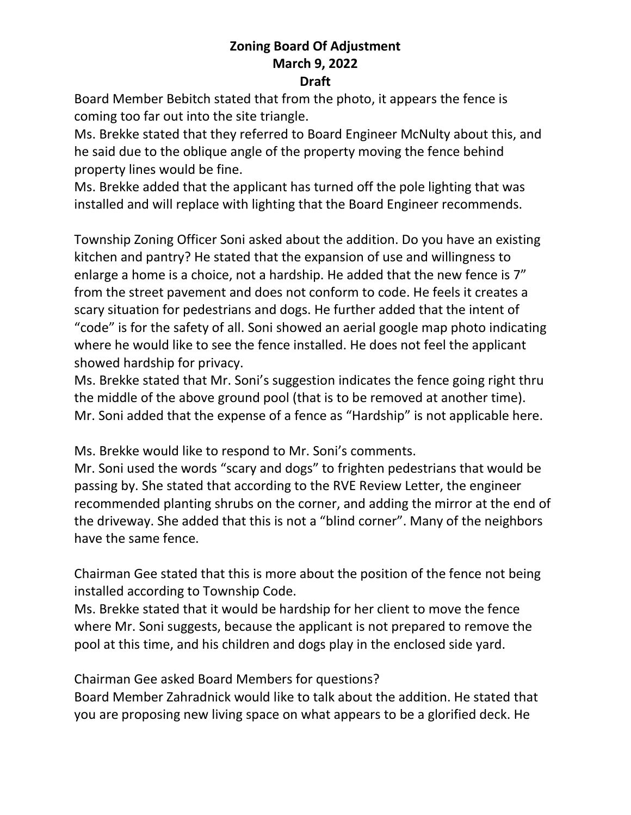#### **Draft**

Board Member Bebitch stated that from the photo, it appears the fence is coming too far out into the site triangle.

Ms. Brekke stated that they referred to Board Engineer McNulty about this, and he said due to the oblique angle of the property moving the fence behind property lines would be fine.

Ms. Brekke added that the applicant has turned off the pole lighting that was installed and will replace with lighting that the Board Engineer recommends.

Township Zoning Officer Soni asked about the addition. Do you have an existing kitchen and pantry? He stated that the expansion of use and willingness to enlarge a home is a choice, not a hardship. He added that the new fence is 7" from the street pavement and does not conform to code. He feels it creates a scary situation for pedestrians and dogs. He further added that the intent of "code" is for the safety of all. Soni showed an aerial google map photo indicating where he would like to see the fence installed. He does not feel the applicant showed hardship for privacy.

Ms. Brekke stated that Mr. Soni's suggestion indicates the fence going right thru the middle of the above ground pool (that is to be removed at another time). Mr. Soni added that the expense of a fence as "Hardship" is not applicable here.

Ms. Brekke would like to respond to Mr. Soni's comments.

Mr. Soni used the words "scary and dogs" to frighten pedestrians that would be passing by. She stated that according to the RVE Review Letter, the engineer recommended planting shrubs on the corner, and adding the mirror at the end of the driveway. She added that this is not a "blind corner". Many of the neighbors have the same fence.

Chairman Gee stated that this is more about the position of the fence not being installed according to Township Code.

Ms. Brekke stated that it would be hardship for her client to move the fence where Mr. Soni suggests, because the applicant is not prepared to remove the pool at this time, and his children and dogs play in the enclosed side yard.

Chairman Gee asked Board Members for questions?

Board Member Zahradnick would like to talk about the addition. He stated that you are proposing new living space on what appears to be a glorified deck. He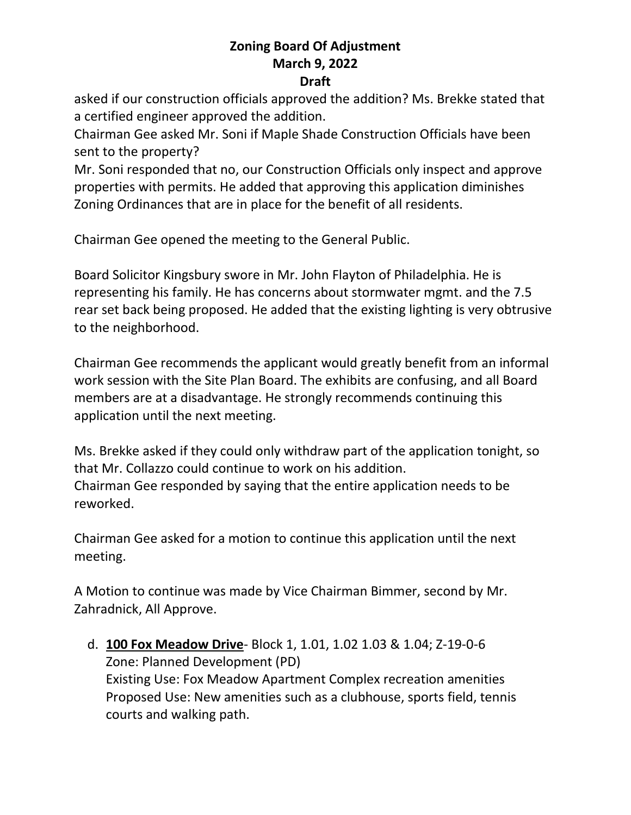#### **Draft**

asked if our construction officials approved the addition? Ms. Brekke stated that a certified engineer approved the addition.

Chairman Gee asked Mr. Soni if Maple Shade Construction Officials have been sent to the property?

Mr. Soni responded that no, our Construction Officials only inspect and approve properties with permits. He added that approving this application diminishes Zoning Ordinances that are in place for the benefit of all residents.

Chairman Gee opened the meeting to the General Public.

Board Solicitor Kingsbury swore in Mr. John Flayton of Philadelphia. He is representing his family. He has concerns about stormwater mgmt. and the 7.5 rear set back being proposed. He added that the existing lighting is very obtrusive to the neighborhood.

Chairman Gee recommends the applicant would greatly benefit from an informal work session with the Site Plan Board. The exhibits are confusing, and all Board members are at a disadvantage. He strongly recommends continuing this application until the next meeting.

Ms. Brekke asked if they could only withdraw part of the application tonight, so that Mr. Collazzo could continue to work on his addition. Chairman Gee responded by saying that the entire application needs to be reworked.

Chairman Gee asked for a motion to continue this application until the next meeting.

A Motion to continue was made by Vice Chairman Bimmer, second by Mr. Zahradnick, All Approve.

d. **100 Fox Meadow Drive**- Block 1, 1.01, 1.02 1.03 & 1.04; Z-19-0-6 Zone: Planned Development (PD) Existing Use: Fox Meadow Apartment Complex recreation amenities Proposed Use: New amenities such as a clubhouse, sports field, tennis courts and walking path.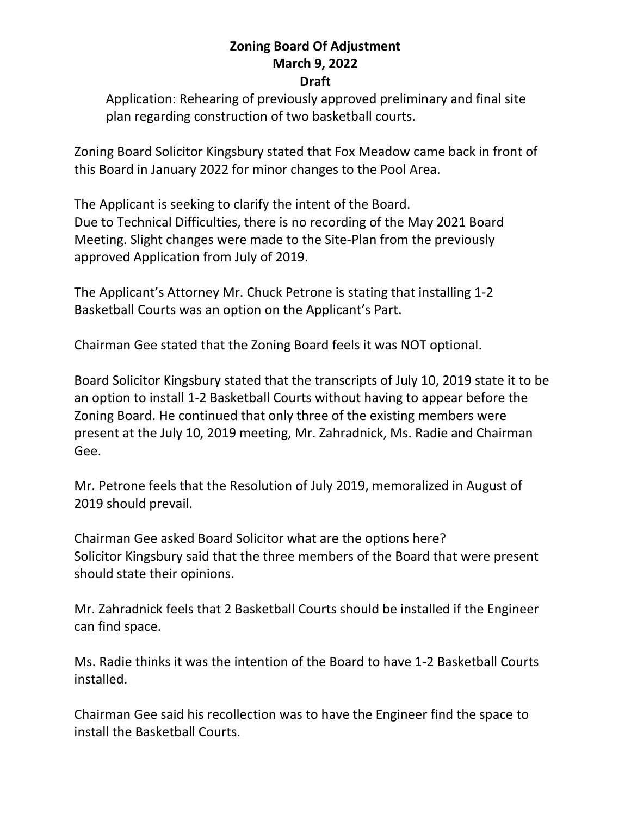#### **Draft**

Application: Rehearing of previously approved preliminary and final site plan regarding construction of two basketball courts.

Zoning Board Solicitor Kingsbury stated that Fox Meadow came back in front of this Board in January 2022 for minor changes to the Pool Area.

The Applicant is seeking to clarify the intent of the Board. Due to Technical Difficulties, there is no recording of the May 2021 Board Meeting. Slight changes were made to the Site-Plan from the previously approved Application from July of 2019.

The Applicant's Attorney Mr. Chuck Petrone is stating that installing 1-2 Basketball Courts was an option on the Applicant's Part.

Chairman Gee stated that the Zoning Board feels it was NOT optional.

Board Solicitor Kingsbury stated that the transcripts of July 10, 2019 state it to be an option to install 1-2 Basketball Courts without having to appear before the Zoning Board. He continued that only three of the existing members were present at the July 10, 2019 meeting, Mr. Zahradnick, Ms. Radie and Chairman Gee.

Mr. Petrone feels that the Resolution of July 2019, memoralized in August of 2019 should prevail.

Chairman Gee asked Board Solicitor what are the options here? Solicitor Kingsbury said that the three members of the Board that were present should state their opinions.

Mr. Zahradnick feels that 2 Basketball Courts should be installed if the Engineer can find space.

Ms. Radie thinks it was the intention of the Board to have 1-2 Basketball Courts installed.

Chairman Gee said his recollection was to have the Engineer find the space to install the Basketball Courts.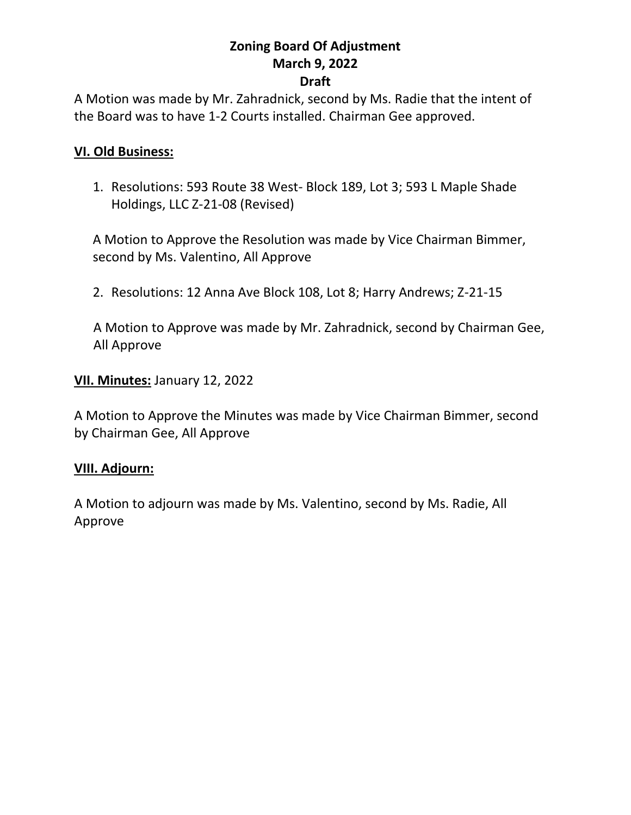#### **Draft**

A Motion was made by Mr. Zahradnick, second by Ms. Radie that the intent of the Board was to have 1-2 Courts installed. Chairman Gee approved.

#### **VI. Old Business:**

1. Resolutions: 593 Route 38 West- Block 189, Lot 3; 593 L Maple Shade Holdings, LLC Z-21-08 (Revised)

A Motion to Approve the Resolution was made by Vice Chairman Bimmer, second by Ms. Valentino, All Approve

2. Resolutions: 12 Anna Ave Block 108, Lot 8; Harry Andrews; Z-21-15

 A Motion to Approve was made by Mr. Zahradnick, second by Chairman Gee, All Approve

**VII. Minutes:** January 12, 2022

A Motion to Approve the Minutes was made by Vice Chairman Bimmer, second by Chairman Gee, All Approve

#### **VIII. Adjourn:**

A Motion to adjourn was made by Ms. Valentino, second by Ms. Radie, All Approve